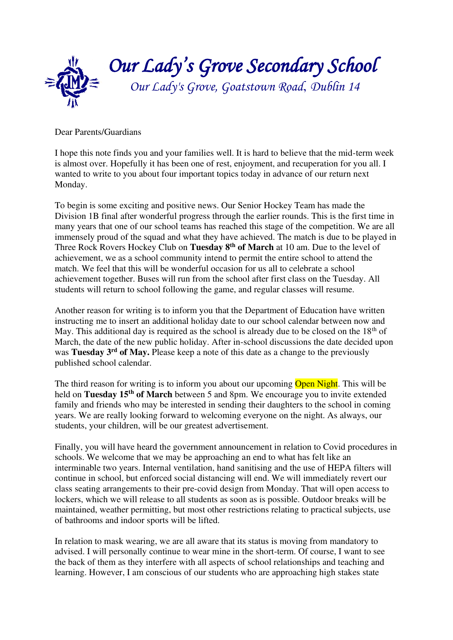

Dear Parents/Guardians

I hope this note finds you and your families well. It is hard to believe that the mid-term week is almost over. Hopefully it has been one of rest, enjoyment, and recuperation for you all. I wanted to write to you about four important topics today in advance of our return next Monday.

To begin is some exciting and positive news. Our Senior Hockey Team has made the Division 1B final after wonderful progress through the earlier rounds. This is the first time in many years that one of our school teams has reached this stage of the competition. We are all immensely proud of the squad and what they have achieved. The match is due to be played in Three Rock Rovers Hockey Club on **Tuesday 8th of March** at 10 am. Due to the level of achievement, we as a school community intend to permit the entire school to attend the match. We feel that this will be wonderful occasion for us all to celebrate a school achievement together. Buses will run from the school after first class on the Tuesday. All students will return to school following the game, and regular classes will resume.

Another reason for writing is to inform you that the Department of Education have written instructing me to insert an additional holiday date to our school calendar between now and May. This additional day is required as the school is already due to be closed on the  $18<sup>th</sup>$  of March, the date of the new public holiday. After in-school discussions the date decided upon was **Tuesday 3rd of May.** Please keep a note of this date as a change to the previously published school calendar.

The third reason for writing is to inform you about our upcoming Open Night. This will be held on **Tuesday 15th of March** between 5 and 8pm. We encourage you to invite extended family and friends who may be interested in sending their daughters to the school in coming years. We are really looking forward to welcoming everyone on the night. As always, our students, your children, will be our greatest advertisement.

Finally, you will have heard the government announcement in relation to Covid procedures in schools. We welcome that we may be approaching an end to what has felt like an interminable two years. Internal ventilation, hand sanitising and the use of HEPA filters will continue in school, but enforced social distancing will end. We will immediately revert our class seating arrangements to their pre-covid design from Monday. That will open access to lockers, which we will release to all students as soon as is possible. Outdoor breaks will be maintained, weather permitting, but most other restrictions relating to practical subjects, use of bathrooms and indoor sports will be lifted.

In relation to mask wearing, we are all aware that its status is moving from mandatory to advised. I will personally continue to wear mine in the short-term. Of course, I want to see the back of them as they interfere with all aspects of school relationships and teaching and learning. However, I am conscious of our students who are approaching high stakes state